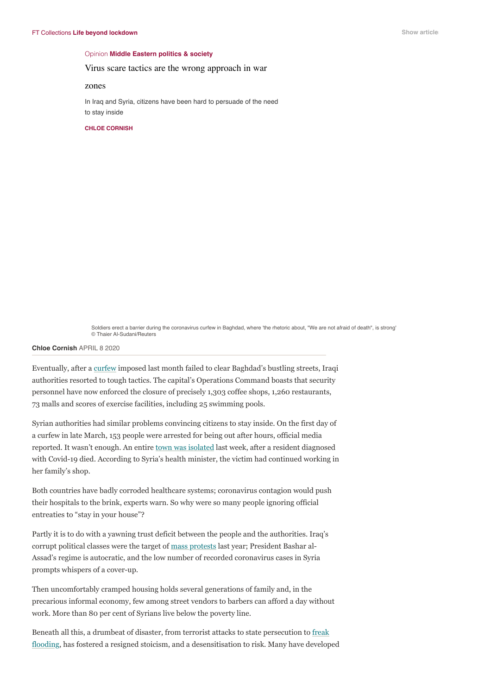#### Opinion **[Middle Eastern politics & society](https://www.ft.com/middle-eastern-politics-society)**

### Virus scare tactics are the wrong approach in war

## zones

In Iraq and Syria, citizens have been hard to persuade of the need to stay inside

#### **[CHLOE CORNISH](https://www.ft.com/chloe-cornish)**



Soldiers erect a barrier during the coronavirus curfew in Baghdad, where 'the rhetoric about, "We are not afraid of death", is strong' © Thaier Al-Sudani/Reuters

# **[Chloe Cornish](https://www.ft.com/chloe-cornish)** APRIL 8 2020

Eventually, after a [curfew](https://www.reuters.com/article/health-coronavirus-iraq/iraqi-government-imposes-curfew-in-baghdad-over-coronavirus-concerns-idUSL8N2B814K) imposed last month failed to clear Baghdad's bustling streets, Iraqi authorities resorted to tough tactics. The capital's Operations Command boasts that security personnel have now enforced the closure of precisely 1,303 coffee shops, 1,260 restaurants, 73 malls and scores of exercise facilities, including 25 swimming pools.

Syrian authorities had similar problems convincing citizens to stay inside. On the first day of a curfew in late March, 153 people were arrested for being out after hours, official media reported. It wasn't enough. An entire [town was isolated](https://sana.sy/en/?p=189206) last week, after a resident diagnosed with Covid-19 died. According to Syria's health minister, the victim had continued working in her family's shop.

Both countries have badly corroded healthcare systems; coronavirus contagion would push their hospitals to the brink, experts warn. So why were so many people ignoring official entreaties to "stay in your house"?

Partly it is to do with a yawning trust deficit between the people and the authorities. Iraq's corrupt political classes were the target of [mass protests](https://www.ft.com/content/4f559a0e-3852-11ea-a6d3-9a26f8c3cba4) last year; President Bashar al-Assad's regime is autocratic, and the low number of recorded coronavirus cases in Syria prompts whispers of a cover-up.

Then uncomfortably cramped housing holds several generations of family and, in the precarious informal economy, few among street vendors to barbers can afford a day without work. More than 80 per cent of Syrians live below the poverty line.

Beneath all this, a drumbeat of disaster, from terrorist attacks to state persecution to freak [flooding, has fostered a resigned stoicism, and a desensitisation to risk. Many have develop](https://reliefweb.int/disaster/fl-2015-000153-irq)ed